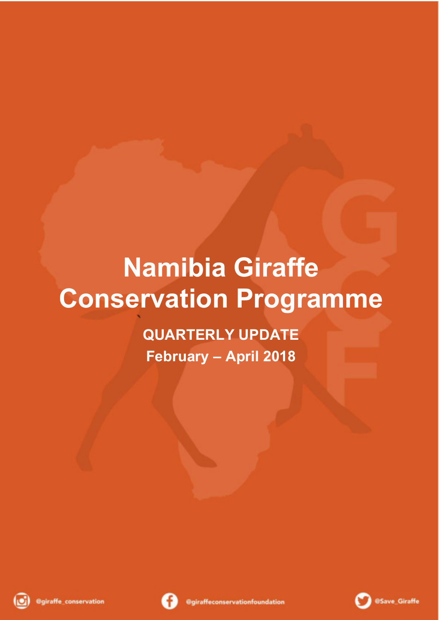# **Namibia Giraffe Conservation Programme**

**QUARTERLY UPDATE February – April 2018**





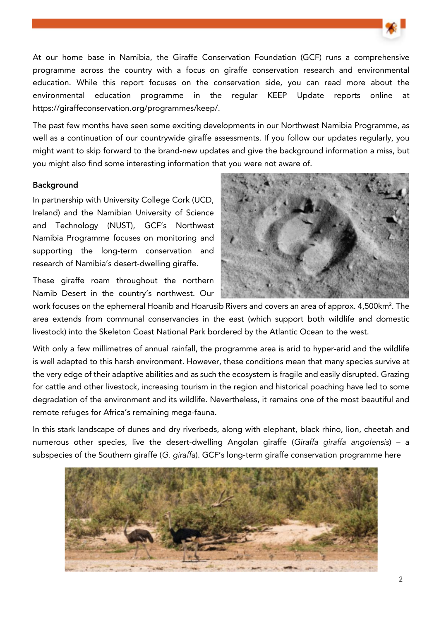

At our home base in Namibia, the Giraffe Conservation Foundation (GCF) runs a comprehensive programme across the country with a focus on giraffe conservation research and environmental education. While this report focuses on the conservation side, you can read more about the environmental education programme in the regular KEEP Update reports online at https://giraffeconservation.org/programmes/keep/.

The past few months have seen some exciting developments in our Northwest Namibia Programme, as well as a continuation of our countrywide giraffe assessments. If you follow our updates regularly, you might want to skip forward to the brand-new updates and give the background information a miss, but you might also find some interesting information that you were not aware of.

#### Background

In partnership with University College Cork (UCD, Ireland) and the Namibian University of Science and Technology (NUST), GCF's Northwest Namibia Programme focuses on monitoring and supporting the long-term conservation and research of Namibia's desert-dwelling giraffe.

These giraffe roam throughout the northern Namib Desert in the country's northwest. Our



work focuses on the ephemeral Hoanib and Hoarusib Rivers and covers an area of approx. 4,500km $^{\rm 2}$ . The area extends from communal conservancies in the east (which support both wildlife and domestic livestock) into the Skeleton Coast National Park bordered by the Atlantic Ocean to the west.

With only a few millimetres of annual rainfall, the programme area is arid to hyper-arid and the wildlife is well adapted to this harsh environment. However, these conditions mean that many species survive at the very edge of their adaptive abilities and as such the ecosystem is fragile and easily disrupted. Grazing for cattle and other livestock, increasing tourism in the region and historical poaching have led to some degradation of the environment and its wildlife. Nevertheless, it remains one of the most beautiful and remote refuges for Africa's remaining mega-fauna.

In this stark landscape of dunes and dry riverbeds, along with elephant, black rhino, lion, cheetah and numerous other species, live the desert-dwelling Angolan giraffe (Giraffa giraffa angolensis) – a subspecies of the Southern giraffe (G. giraffa). GCF's long-term giraffe conservation programme here

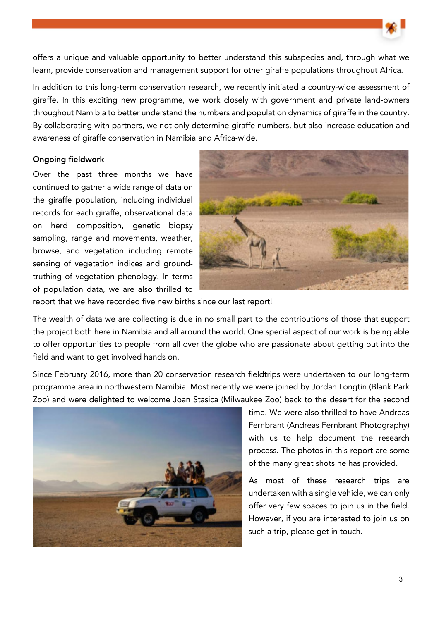offers a unique and valuable opportunity to better understand this subspecies and, through what we learn, provide conservation and management support for other giraffe populations throughout Africa.

In addition to this long-term conservation research, we recently initiated a country-wide assessment of giraffe. In this exciting new programme, we work closely with government and private land-owners throughout Namibia to better understand the numbers and population dynamics of giraffe in the country. By collaborating with partners, we not only determine giraffe numbers, but also increase education and awareness of giraffe conservation in Namibia and Africa-wide.

## Ongoing fieldwork

Over the past three months we have continued to gather a wide range of data on the giraffe population, including individual records for each giraffe, observational data on herd composition, genetic biopsy sampling, range and movements, weather, browse, and vegetation including remote sensing of vegetation indices and groundtruthing of vegetation phenology. In terms of population data, we are also thrilled to



report that we have recorded five new births since our last report!

The wealth of data we are collecting is due in no small part to the contributions of those that support the project both here in Namibia and all around the world. One special aspect of our work is being able to offer opportunities to people from all over the globe who are passionate about getting out into the field and want to get involved hands on.

Since February 2016, more than 20 conservation research fieldtrips were undertaken to our long-term programme area in northwestern Namibia. Most recently we were joined by Jordan Longtin (Blank Park Zoo) and were delighted to welcome Joan Stasica (Milwaukee Zoo) back to the desert for the second



time. We were also thrilled to have Andreas Fernbrant (Andreas Fernbrant Photography) with us to help document the research process. The photos in this report are some of the many great shots he has provided.

As most of these research trips are undertaken with a single vehicle, we can only offer very few spaces to join us in the field. However, if you are interested to join us on such a trip, please get in touch.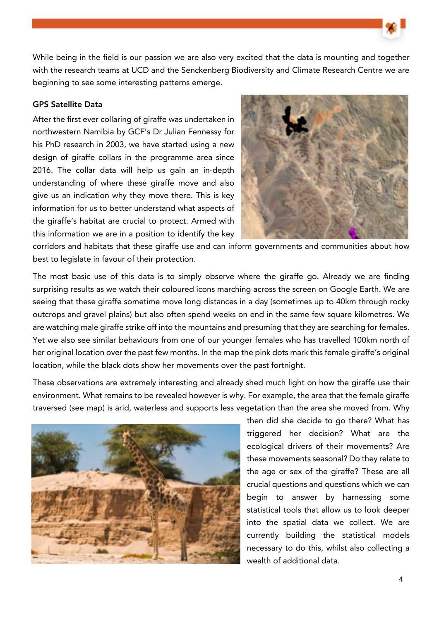While being in the field is our passion we are also very excited that the data is mounting and together with the research teams at UCD and the Senckenberg Biodiversity and Climate Research Centre we are beginning to see some interesting patterns emerge.

## GPS Satellite Data

After the first ever collaring of giraffe was undertaken in northwestern Namibia by GCF's Dr Julian Fennessy for his PhD research in 2003, we have started using a new design of giraffe collars in the programme area since 2016. The collar data will help us gain an in-depth understanding of where these giraffe move and also give us an indication why they move there. This is key information for us to better understand what aspects of the giraffe's habitat are crucial to protect. Armed with this information we are in a position to identify the key



corridors and habitats that these giraffe use and can inform governments and communities about how best to legislate in favour of their protection.

The most basic use of this data is to simply observe where the giraffe go. Already we are finding surprising results as we watch their coloured icons marching across the screen on Google Earth. We are seeing that these giraffe sometime move long distances in a day (sometimes up to 40km through rocky outcrops and gravel plains) but also often spend weeks on end in the same few square kilometres. We are watching male giraffe strike off into the mountains and presuming that they are searching for females. Yet we also see similar behaviours from one of our younger females who has travelled 100km north of her original location over the past few months. In the map the pink dots mark this female giraffe's original location, while the black dots show her movements over the past fortnight.

These observations are extremely interesting and already shed much light on how the giraffe use their environment. What remains to be revealed however is why. For example, the area that the female giraffe traversed (see map) is arid, waterless and supports less vegetation than the area she moved from. Why



then did she decide to go there? What has triggered her decision? What are the ecological drivers of their movements? Are these movements seasonal? Do they relate to the age or sex of the giraffe? These are all crucial questions and questions which we can begin to answer by harnessing some statistical tools that allow us to look deeper into the spatial data we collect. We are currently building the statistical models necessary to do this, whilst also collecting a wealth of additional data.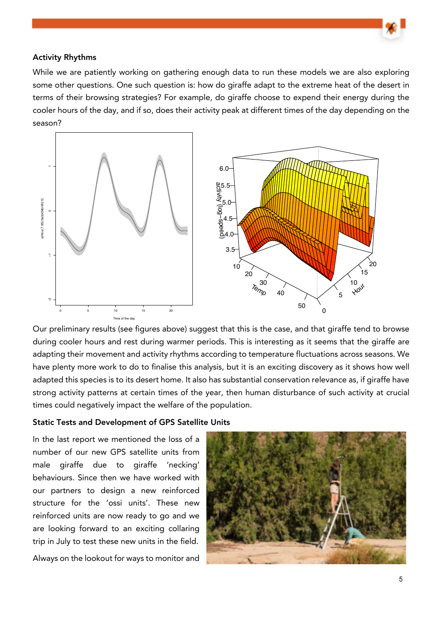#### Activity Rhythms

While we are patiently working on gathering enough data to run these models we are also exploring some other questions. One such question is: how do giraffe adapt to the extreme heat of the desert in terms of their browsing strategies? For example, do giraffe choose to expend their energy during the cooler hours of the day, and if so, does their activity peak at different times of the day depending on the season?



Our preliminary results (see figures above) suggest that this is the case, and that giraffe tend to browse during cooler hours and rest during warmer periods. This is interesting as it seems that the giraffe are adapting their movement and activity rhythms according to temperature fluctuations across seasons. We have plenty more work to do to finalise this analysis, but it is an exciting discovery as it shows how well adapted this species is to its desert home. It also has substantial conservation relevance as, if giraffe have strong activity patterns at certain times of the year, then human disturbance of such activity at crucial times could negatively impact the welfare of the population.

#### Static Tests and Development of GPS Satellite Units

In the last report we mentioned the loss of a number of our new GPS satellite units from male giraffe due to giraffe 'necking' behaviours. Since then we have worked with our partners to design a new reinforced structure for the 'ossi units'. These new reinforced units are now ready to go and we are looking forward to an exciting collaring trip in July to test these new units in the field.

Always on the lookout for ways to monitor and

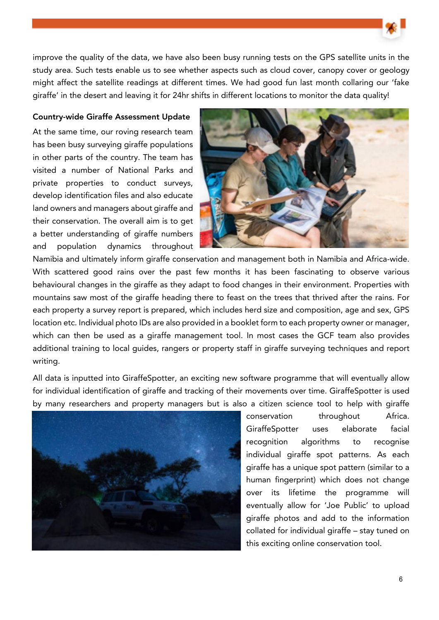improve the quality of the data, we have also been busy running tests on the GPS satellite units in the study area. Such tests enable us to see whether aspects such as cloud cover, canopy cover or geology might affect the satellite readings at different times. We had good fun last month collaring our 'fake giraffe' in the desert and leaving it for 24hr shifts in different locations to monitor the data quality!

### Country-wide Giraffe Assessment Update

At the same time, our roving research team has been busy surveying giraffe populations in other parts of the country. The team has visited a number of National Parks and private properties to conduct surveys, develop identification files and also educate land owners and managers about giraffe and their conservation. The overall aim is to get a better understanding of giraffe numbers and population dynamics throughout



Namibia and ultimately inform giraffe conservation and management both in Namibia and Africa-wide. With scattered good rains over the past few months it has been fascinating to observe various behavioural changes in the giraffe as they adapt to food changes in their environment. Properties with mountains saw most of the giraffe heading there to feast on the trees that thrived after the rains. For each property a survey report is prepared, which includes herd size and composition, age and sex, GPS location etc. Individual photo IDs are also provided in a booklet form to each property owner or manager, which can then be used as a giraffe management tool. In most cases the GCF team also provides additional training to local guides, rangers or property staff in giraffe surveying techniques and report writing.

All data is inputted into GiraffeSpotter, an exciting new software programme that will eventually allow for individual identification of giraffe and tracking of their movements over time. GiraffeSpotter is used by many researchers and property managers but is also a citizen science tool to help with giraffe



conservation throughout Africa. GiraffeSpotter uses elaborate facial recognition algorithms to recognise individual giraffe spot patterns. As each giraffe has a unique spot pattern (similar to a human fingerprint) which does not change over its lifetime the programme will eventually allow for 'Joe Public' to upload giraffe photos and add to the information collated for individual giraffe – stay tuned on this exciting online conservation tool.